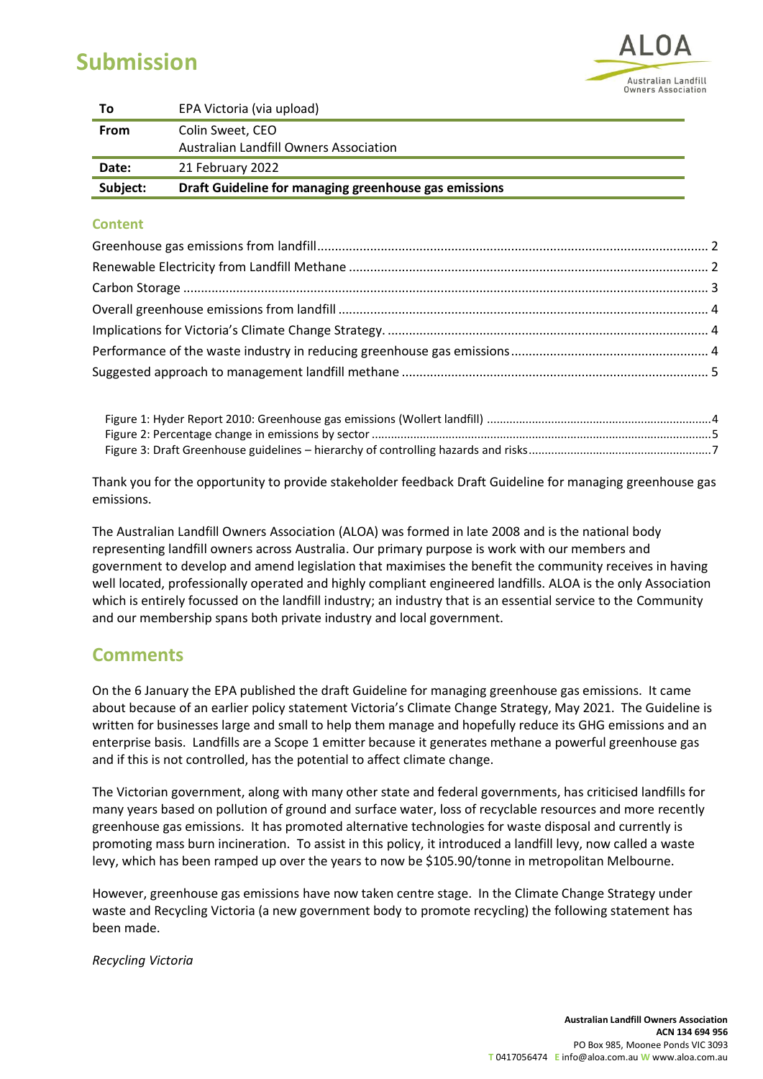# **Submission**



| To          | EPA Victoria (via upload)                                  |
|-------------|------------------------------------------------------------|
| <b>From</b> | Colin Sweet, CEO<br>Australian Landfill Owners Association |
| Date:       | 21 February 2022                                           |
| Subject:    | Draft Guideline for managing greenhouse gas emissions      |

## **Content**

Thank you for the opportunity to provide stakeholder feedback Draft Guideline for managing greenhouse gas emissions.

The Australian Landfill Owners Association (ALOA) was formed in late 2008 and is the national body representing landfill owners across Australia. Our primary purpose is work with our members and government to develop and amend legislation that maximises the benefit the community receives in having well located, professionally operated and highly compliant engineered landfills. ALOA is the only Association which is entirely focussed on the landfill industry; an industry that is an essential service to the Community and our membership spans both private industry and local government.

## **Comments**

On the 6 January the EPA published the draft Guideline for managing greenhouse gas emissions. It came about because of an earlier policy statement Victoria's Climate Change Strategy, May 2021. The Guideline is written for businesses large and small to help them manage and hopefully reduce its GHG emissions and an enterprise basis. Landfills are a Scope 1 emitter because it generates methane a powerful greenhouse gas and if this is not controlled, has the potential to affect climate change.

The Victorian government, along with many other state and federal governments, has criticised landfills for many years based on pollution of ground and surface water, loss of recyclable resources and more recently greenhouse gas emissions. It has promoted alternative technologies for waste disposal and currently is promoting mass burn incineration. To assist in this policy, it introduced a landfill levy, now called a waste levy, which has been ramped up over the years to now be \$105.90/tonne in metropolitan Melbourne.

However, greenhouse gas emissions have now taken centre stage. In the Climate Change Strategy under waste and Recycling Victoria (a new government body to promote recycling) the following statement has been made.

*Recycling Victoria*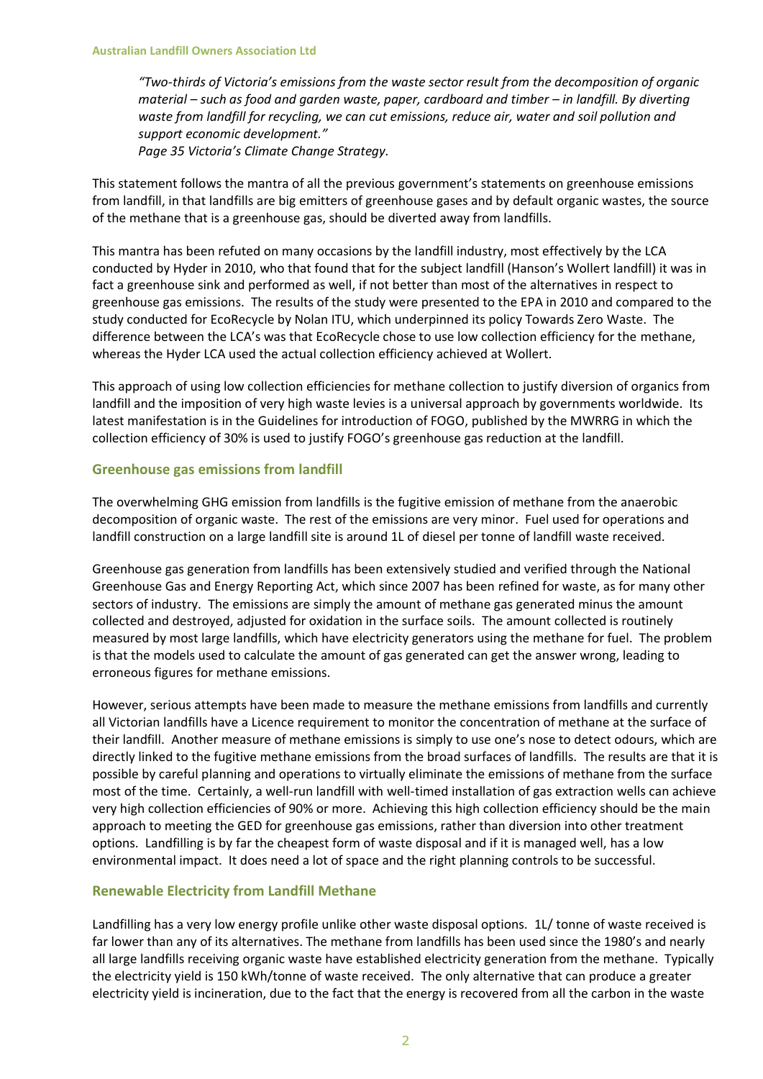*"Two-thirds of Victoria's emissions from the waste sector result from the decomposition of organic material – such as food and garden waste, paper, cardboard and timber – in landfill. By diverting waste from landfill for recycling, we can cut emissions, reduce air, water and soil pollution and support economic development."*

*Page 35 Victoria's Climate Change Strategy.*

This statement follows the mantra of all the previous government's statements on greenhouse emissions from landfill, in that landfills are big emitters of greenhouse gases and by default organic wastes, the source of the methane that is a greenhouse gas, should be diverted away from landfills.

This mantra has been refuted on many occasions by the landfill industry, most effectively by the LCA conducted by Hyder in 2010, who that found that for the subject landfill (Hanson's Wollert landfill) it was in fact a greenhouse sink and performed as well, if not better than most of the alternatives in respect to greenhouse gas emissions. The results of the study were presented to the EPA in 2010 and compared to the study conducted for EcoRecycle by Nolan ITU, which underpinned its policy Towards Zero Waste. The difference between the LCA's was that EcoRecycle chose to use low collection efficiency for the methane, whereas the Hyder LCA used the actual collection efficiency achieved at Wollert.

This approach of using low collection efficiencies for methane collection to justify diversion of organics from landfill and the imposition of very high waste levies is a universal approach by governments worldwide. Its latest manifestation is in the Guidelines for introduction of FOGO, published by the MWRRG in which the collection efficiency of 30% is used to justify FOGO's greenhouse gas reduction at the landfill.

## **Greenhouse gas emissions from landfill**

The overwhelming GHG emission from landfills is the fugitive emission of methane from the anaerobic decomposition of organic waste. The rest of the emissions are very minor. Fuel used for operations and landfill construction on a large landfill site is around 1L of diesel per tonne of landfill waste received.

Greenhouse gas generation from landfills has been extensively studied and verified through the National Greenhouse Gas and Energy Reporting Act, which since 2007 has been refined for waste, as for many other sectors of industry. The emissions are simply the amount of methane gas generated minus the amount collected and destroyed, adjusted for oxidation in the surface soils. The amount collected is routinely measured by most large landfills, which have electricity generators using the methane for fuel. The problem is that the models used to calculate the amount of gas generated can get the answer wrong, leading to erroneous figures for methane emissions.

However, serious attempts have been made to measure the methane emissions from landfills and currently all Victorian landfills have a Licence requirement to monitor the concentration of methane at the surface of their landfill. Another measure of methane emissions is simply to use one's nose to detect odours, which are directly linked to the fugitive methane emissions from the broad surfaces of landfills. The results are that it is possible by careful planning and operations to virtually eliminate the emissions of methane from the surface most of the time. Certainly, a well-run landfill with well-timed installation of gas extraction wells can achieve very high collection efficiencies of 90% or more. Achieving this high collection efficiency should be the main approach to meeting the GED for greenhouse gas emissions, rather than diversion into other treatment options. Landfilling is by far the cheapest form of waste disposal and if it is managed well, has a low environmental impact. It does need a lot of space and the right planning controls to be successful.

## **Renewable Electricity from Landfill Methane**

Landfilling has a very low energy profile unlike other waste disposal options. 1L/ tonne of waste received is far lower than any of its alternatives. The methane from landfills has been used since the 1980's and nearly all large landfills receiving organic waste have established electricity generation from the methane. Typically the electricity yield is 150 kWh/tonne of waste received. The only alternative that can produce a greater electricity yield is incineration, due to the fact that the energy is recovered from all the carbon in the waste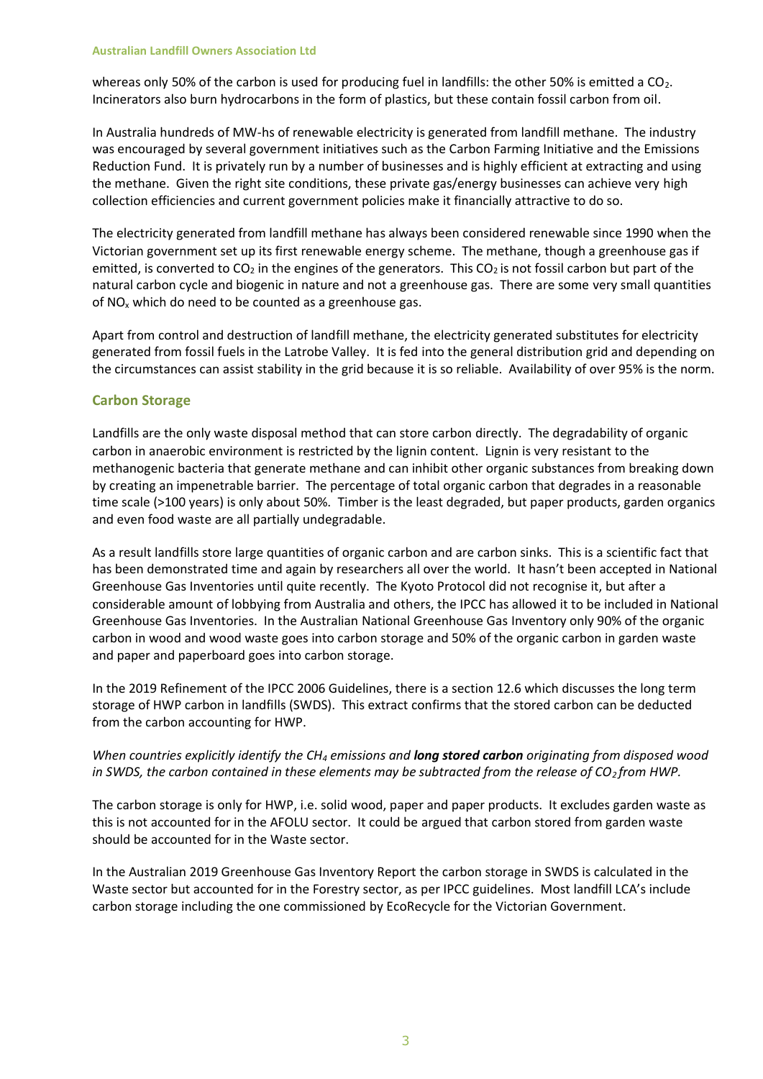whereas only 50% of the carbon is used for producing fuel in landfills: the other 50% is emitted a  $CO<sub>2</sub>$ . Incinerators also burn hydrocarbons in the form of plastics, but these contain fossil carbon from oil.

In Australia hundreds of MW-hs of renewable electricity is generated from landfill methane. The industry was encouraged by several government initiatives such as the Carbon Farming Initiative and the Emissions Reduction Fund. It is privately run by a number of businesses and is highly efficient at extracting and using the methane. Given the right site conditions, these private gas/energy businesses can achieve very high collection efficiencies and current government policies make it financially attractive to do so.

The electricity generated from landfill methane has always been considered renewable since 1990 when the Victorian government set up its first renewable energy scheme. The methane, though a greenhouse gas if emitted, is converted to  $CO<sub>2</sub>$  in the engines of the generators. This  $CO<sub>2</sub>$  is not fossil carbon but part of the natural carbon cycle and biogenic in nature and not a greenhouse gas. There are some very small quantities of  $NO<sub>x</sub>$  which do need to be counted as a greenhouse gas.

Apart from control and destruction of landfill methane, the electricity generated substitutes for electricity generated from fossil fuels in the Latrobe Valley. It is fed into the general distribution grid and depending on the circumstances can assist stability in the grid because it is so reliable. Availability of over 95% is the norm.

## **Carbon Storage**

Landfills are the only waste disposal method that can store carbon directly. The degradability of organic carbon in anaerobic environment is restricted by the lignin content. Lignin is very resistant to the methanogenic bacteria that generate methane and can inhibit other organic substances from breaking down by creating an impenetrable barrier. The percentage of total organic carbon that degrades in a reasonable time scale (>100 years) is only about 50%. Timber is the least degraded, but paper products, garden organics and even food waste are all partially undegradable.

As a result landfills store large quantities of organic carbon and are carbon sinks. This is a scientific fact that has been demonstrated time and again by researchers all over the world. It hasn't been accepted in National Greenhouse Gas Inventories until quite recently. The Kyoto Protocol did not recognise it, but after a considerable amount of lobbying from Australia and others, the IPCC has allowed it to be included in National Greenhouse Gas Inventories. In the Australian National Greenhouse Gas Inventory only 90% of the organic carbon in wood and wood waste goes into carbon storage and 50% of the organic carbon in garden waste and paper and paperboard goes into carbon storage.

In the 2019 Refinement of the IPCC 2006 Guidelines, there is a section 12.6 which discusses the long term storage of HWP carbon in landfills (SWDS). This extract confirms that the stored carbon can be deducted from the carbon accounting for HWP.

## *When countries explicitly identify the CH<sup>4</sup> emissions and long stored carbon originating from disposed wood in SWDS, the carbon contained in these elements may be subtracted from the release of CO<sub>2</sub> from HWP.*

The carbon storage is only for HWP, i.e. solid wood, paper and paper products. It excludes garden waste as this is not accounted for in the AFOLU sector. It could be argued that carbon stored from garden waste should be accounted for in the Waste sector.

In the Australian 2019 Greenhouse Gas Inventory Report the carbon storage in SWDS is calculated in the Waste sector but accounted for in the Forestry sector, as per IPCC guidelines. Most landfill LCA's include carbon storage including the one commissioned by EcoRecycle for the Victorian Government.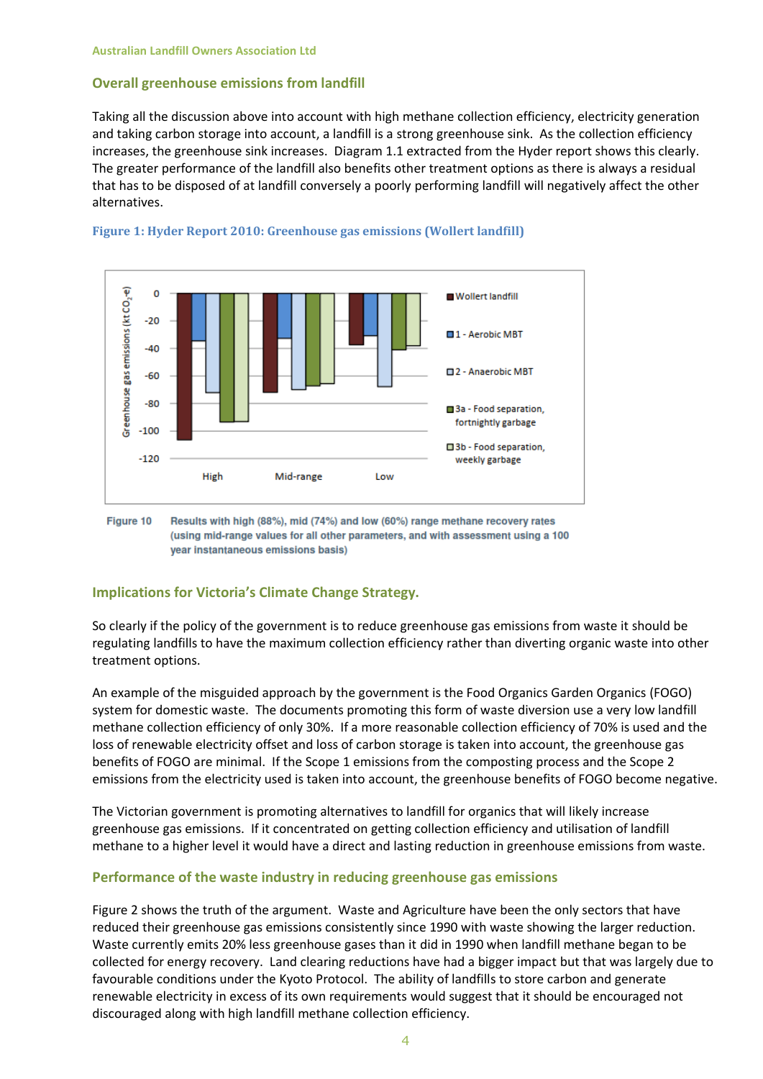## **Overall greenhouse emissions from landfill**

Taking all the discussion above into account with high methane collection efficiency, electricity generation and taking carbon storage into account, a landfill is a strong greenhouse sink. As the collection efficiency increases, the greenhouse sink increases. Diagram 1.1 extracted from the Hyder report shows this clearly. The greater performance of the landfill also benefits other treatment options as there is always a residual that has to be disposed of at landfill conversely a poorly performing landfill will negatively affect the other alternatives.





Figure 10 Results with high (88%), mid (74%) and low (60%) range methane recovery rates (using mid-range values for all other parameters, and with assessment using a 100 year instantaneous emissions basis)

## **Implications for Victoria's Climate Change Strategy.**

So clearly if the policy of the government is to reduce greenhouse gas emissions from waste it should be regulating landfills to have the maximum collection efficiency rather than diverting organic waste into other treatment options.

An example of the misguided approach by the government is the Food Organics Garden Organics (FOGO) system for domestic waste. The documents promoting this form of waste diversion use a very low landfill methane collection efficiency of only 30%. If a more reasonable collection efficiency of 70% is used and the loss of renewable electricity offset and loss of carbon storage is taken into account, the greenhouse gas benefits of FOGO are minimal. If the Scope 1 emissions from the composting process and the Scope 2 emissions from the electricity used is taken into account, the greenhouse benefits of FOGO become negative.

The Victorian government is promoting alternatives to landfill for organics that will likely increase greenhouse gas emissions. If it concentrated on getting collection efficiency and utilisation of landfill methane to a higher level it would have a direct and lasting reduction in greenhouse emissions from waste.

#### **Performance of the waste industry in reducing greenhouse gas emissions**

Figure 2 shows the truth of the argument. Waste and Agriculture have been the only sectors that have reduced their greenhouse gas emissions consistently since 1990 with waste showing the larger reduction. Waste currently emits 20% less greenhouse gases than it did in 1990 when landfill methane began to be collected for energy recovery. Land clearing reductions have had a bigger impact but that was largely due to favourable conditions under the Kyoto Protocol. The ability of landfills to store carbon and generate renewable electricity in excess of its own requirements would suggest that it should be encouraged not discouraged along with high landfill methane collection efficiency.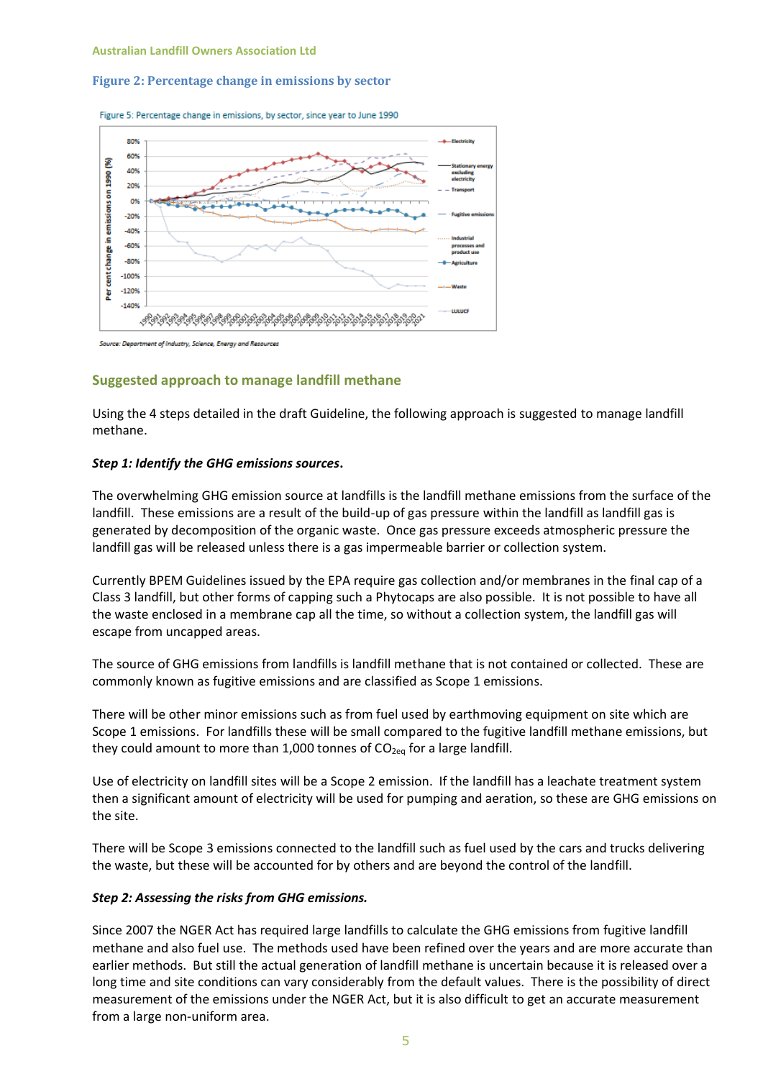#### **Figure 2: Percentage change in emissions by sector**





rce: Department of Industry, Science, Energy and Resources

#### **Suggested approach to manage landfill methane**

Using the 4 steps detailed in the draft Guideline, the following approach is suggested to manage landfill methane.

#### *Step 1: Identify the GHG emissions sources***.**

The overwhelming GHG emission source at landfills is the landfill methane emissions from the surface of the landfill. These emissions are a result of the build-up of gas pressure within the landfill as landfill gas is generated by decomposition of the organic waste. Once gas pressure exceeds atmospheric pressure the landfill gas will be released unless there is a gas impermeable barrier or collection system.

Currently BPEM Guidelines issued by the EPA require gas collection and/or membranes in the final cap of a Class 3 landfill, but other forms of capping such a Phytocaps are also possible. It is not possible to have all the waste enclosed in a membrane cap all the time, so without a collection system, the landfill gas will escape from uncapped areas.

The source of GHG emissions from landfills is landfill methane that is not contained or collected. These are commonly known as fugitive emissions and are classified as Scope 1 emissions.

There will be other minor emissions such as from fuel used by earthmoving equipment on site which are Scope 1 emissions. For landfills these will be small compared to the fugitive landfill methane emissions, but they could amount to more than 1,000 tonnes of  $CO_{2eq}$  for a large landfill.

Use of electricity on landfill sites will be a Scope 2 emission. If the landfill has a leachate treatment system then a significant amount of electricity will be used for pumping and aeration, so these are GHG emissions on the site.

There will be Scope 3 emissions connected to the landfill such as fuel used by the cars and trucks delivering the waste, but these will be accounted for by others and are beyond the control of the landfill.

#### *Step 2: Assessing the risks from GHG emissions.*

Since 2007 the NGER Act has required large landfills to calculate the GHG emissions from fugitive landfill methane and also fuel use. The methods used have been refined over the years and are more accurate than earlier methods. But still the actual generation of landfill methane is uncertain because it is released over a long time and site conditions can vary considerably from the default values. There is the possibility of direct measurement of the emissions under the NGER Act, but it is also difficult to get an accurate measurement from a large non-uniform area.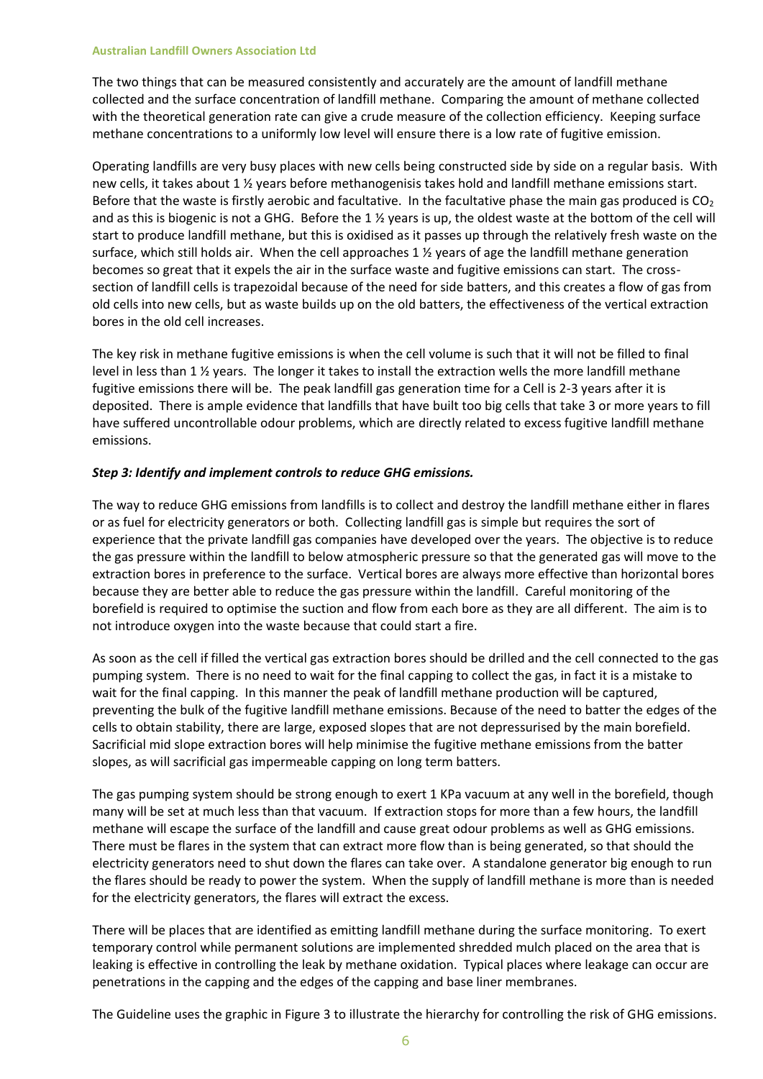#### **Australian Landfill Owners Association Ltd**

The two things that can be measured consistently and accurately are the amount of landfill methane collected and the surface concentration of landfill methane. Comparing the amount of methane collected with the theoretical generation rate can give a crude measure of the collection efficiency. Keeping surface methane concentrations to a uniformly low level will ensure there is a low rate of fugitive emission.

Operating landfills are very busy places with new cells being constructed side by side on a regular basis. With new cells, it takes about 1 ½ years before methanogenisis takes hold and landfill methane emissions start. Before that the waste is firstly aerobic and facultative. In the facultative phase the main gas produced is  $CO<sub>2</sub>$ and as this is biogenic is not a GHG. Before the 1 ½ years is up, the oldest waste at the bottom of the cell will start to produce landfill methane, but this is oxidised as it passes up through the relatively fresh waste on the surface, which still holds air. When the cell approaches 1 ½ years of age the landfill methane generation becomes so great that it expels the air in the surface waste and fugitive emissions can start. The crosssection of landfill cells is trapezoidal because of the need for side batters, and this creates a flow of gas from old cells into new cells, but as waste builds up on the old batters, the effectiveness of the vertical extraction bores in the old cell increases.

The key risk in methane fugitive emissions is when the cell volume is such that it will not be filled to final level in less than 1 ½ years. The longer it takes to install the extraction wells the more landfill methane fugitive emissions there will be. The peak landfill gas generation time for a Cell is 2-3 years after it is deposited. There is ample evidence that landfills that have built too big cells that take 3 or more years to fill have suffered uncontrollable odour problems, which are directly related to excess fugitive landfill methane emissions.

## *Step 3: Identify and implement controls to reduce GHG emissions.*

The way to reduce GHG emissions from landfills is to collect and destroy the landfill methane either in flares or as fuel for electricity generators or both. Collecting landfill gas is simple but requires the sort of experience that the private landfill gas companies have developed over the years. The objective is to reduce the gas pressure within the landfill to below atmospheric pressure so that the generated gas will move to the extraction bores in preference to the surface. Vertical bores are always more effective than horizontal bores because they are better able to reduce the gas pressure within the landfill. Careful monitoring of the borefield is required to optimise the suction and flow from each bore as they are all different. The aim is to not introduce oxygen into the waste because that could start a fire.

As soon as the cell if filled the vertical gas extraction bores should be drilled and the cell connected to the gas pumping system. There is no need to wait for the final capping to collect the gas, in fact it is a mistake to wait for the final capping. In this manner the peak of landfill methane production will be captured, preventing the bulk of the fugitive landfill methane emissions. Because of the need to batter the edges of the cells to obtain stability, there are large, exposed slopes that are not depressurised by the main borefield. Sacrificial mid slope extraction bores will help minimise the fugitive methane emissions from the batter slopes, as will sacrificial gas impermeable capping on long term batters.

The gas pumping system should be strong enough to exert 1 KPa vacuum at any well in the borefield, though many will be set at much less than that vacuum. If extraction stops for more than a few hours, the landfill methane will escape the surface of the landfill and cause great odour problems as well as GHG emissions. There must be flares in the system that can extract more flow than is being generated, so that should the electricity generators need to shut down the flares can take over. A standalone generator big enough to run the flares should be ready to power the system. When the supply of landfill methane is more than is needed for the electricity generators, the flares will extract the excess.

There will be places that are identified as emitting landfill methane during the surface monitoring. To exert temporary control while permanent solutions are implemented shredded mulch placed on the area that is leaking is effective in controlling the leak by methane oxidation. Typical places where leakage can occur are penetrations in the capping and the edges of the capping and base liner membranes.

The Guideline uses the graphic in Figure 3 to illustrate the hierarchy for controlling the risk of GHG emissions.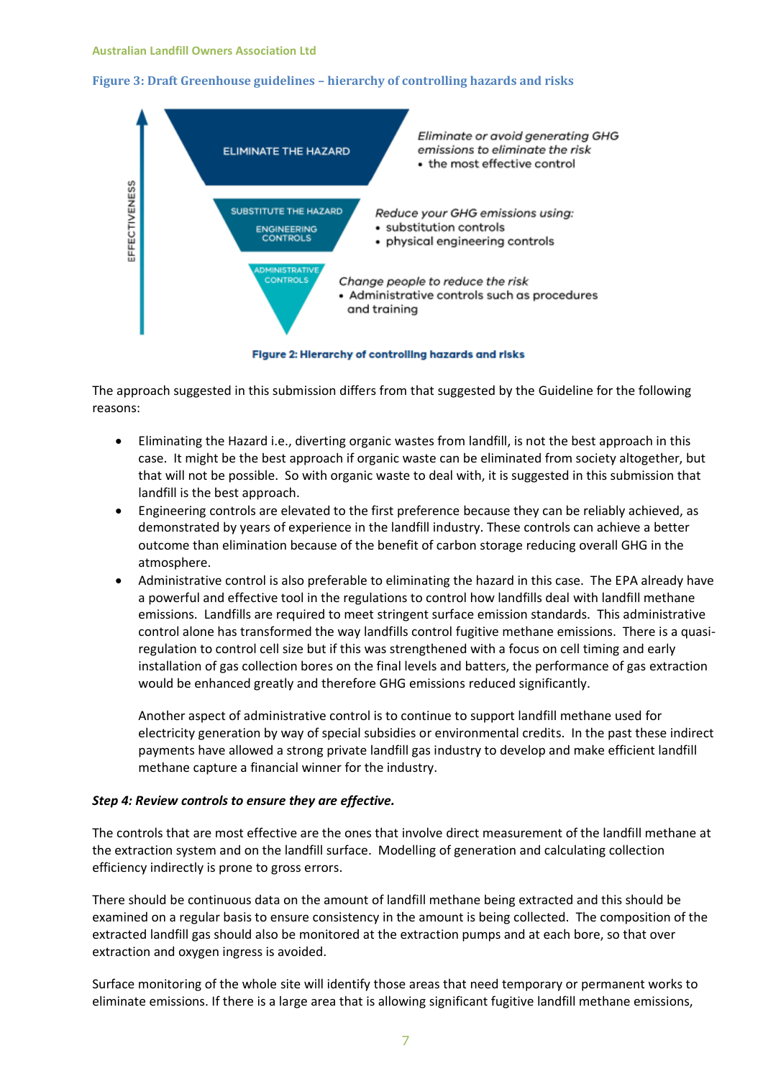## **Figure 3: Draft Greenhouse guidelines – hierarchy of controlling hazards and risks**



Figure 2: Hierarchy of controlling hazards and risks

The approach suggested in this submission differs from that suggested by the Guideline for the following reasons:

- Eliminating the Hazard i.e., diverting organic wastes from landfill, is not the best approach in this case. It might be the best approach if organic waste can be eliminated from society altogether, but that will not be possible. So with organic waste to deal with, it is suggested in this submission that landfill is the best approach.
- Engineering controls are elevated to the first preference because they can be reliably achieved, as demonstrated by years of experience in the landfill industry. These controls can achieve a better outcome than elimination because of the benefit of carbon storage reducing overall GHG in the atmosphere.
- Administrative control is also preferable to eliminating the hazard in this case. The EPA already have a powerful and effective tool in the regulations to control how landfills deal with landfill methane emissions. Landfills are required to meet stringent surface emission standards. This administrative control alone has transformed the way landfills control fugitive methane emissions. There is a quasiregulation to control cell size but if this was strengthened with a focus on cell timing and early installation of gas collection bores on the final levels and batters, the performance of gas extraction would be enhanced greatly and therefore GHG emissions reduced significantly.

Another aspect of administrative control is to continue to support landfill methane used for electricity generation by way of special subsidies or environmental credits. In the past these indirect payments have allowed a strong private landfill gas industry to develop and make efficient landfill methane capture a financial winner for the industry.

#### *Step 4: Review controls to ensure they are effective.*

The controls that are most effective are the ones that involve direct measurement of the landfill methane at the extraction system and on the landfill surface. Modelling of generation and calculating collection efficiency indirectly is prone to gross errors.

There should be continuous data on the amount of landfill methane being extracted and this should be examined on a regular basis to ensure consistency in the amount is being collected. The composition of the extracted landfill gas should also be monitored at the extraction pumps and at each bore, so that over extraction and oxygen ingress is avoided.

Surface monitoring of the whole site will identify those areas that need temporary or permanent works to eliminate emissions. If there is a large area that is allowing significant fugitive landfill methane emissions,